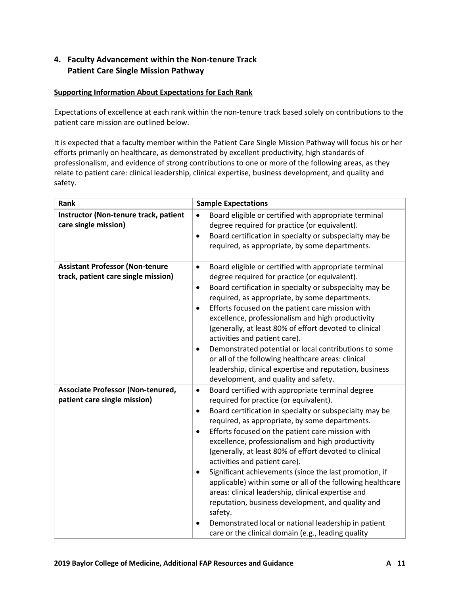## **4. Faculty Advancement within the Non-tenure Track Patient Care Single Mission Pathway**

## **Supporting Information About Expectations for Each Rank**

Expectations of excellence at each rank within the non-tenure track based solely on contributions to the patient care mission are outlined below.

It is expected that a faculty member within the Patient Care Single Mission Pathway will focus his or her efforts primarily on healthcare, as demonstrated by excellent productivity, high standards of professionalism, and evidence of strong contributions to one or more of the following areas, as they relate to patient care: clinical leadership, clinical expertise, business development, and quality and safety.

| Rank                                                                          | <b>Sample Expectations</b>                                                                                                                                                                                                                                                                                                                                                                                                                                                                                                                                                                                                                                                                                                                                                                                                  |
|-------------------------------------------------------------------------------|-----------------------------------------------------------------------------------------------------------------------------------------------------------------------------------------------------------------------------------------------------------------------------------------------------------------------------------------------------------------------------------------------------------------------------------------------------------------------------------------------------------------------------------------------------------------------------------------------------------------------------------------------------------------------------------------------------------------------------------------------------------------------------------------------------------------------------|
| Instructor (Non-tenure track, patient<br>care single mission)                 | Board eligible or certified with appropriate terminal<br>$\bullet$<br>degree required for practice (or equivalent).<br>Board certification in specialty or subspecialty may be<br>$\bullet$<br>required, as appropriate, by some departments.                                                                                                                                                                                                                                                                                                                                                                                                                                                                                                                                                                               |
| <b>Assistant Professor (Non-tenure</b><br>track, patient care single mission) | Board eligible or certified with appropriate terminal<br>$\bullet$<br>degree required for practice (or equivalent).<br>Board certification in specialty or subspecialty may be<br>٠<br>required, as appropriate, by some departments.<br>Efforts focused on the patient care mission with<br>$\bullet$<br>excellence, professionalism and high productivity<br>(generally, at least 80% of effort devoted to clinical<br>activities and patient care).<br>Demonstrated potential or local contributions to some<br>$\bullet$<br>or all of the following healthcare areas: clinical<br>leadership, clinical expertise and reputation, business<br>development, and quality and safety.                                                                                                                                       |
| <b>Associate Professor (Non-tenured,</b><br>patient care single mission)      | Board certified with appropriate terminal degree<br>$\bullet$<br>required for practice (or equivalent).<br>Board certification in specialty or subspecialty may be<br>$\bullet$<br>required, as appropriate, by some departments.<br>Efforts focused on the patient care mission with<br>$\bullet$<br>excellence, professionalism and high productivity<br>(generally, at least 80% of effort devoted to clinical<br>activities and patient care).<br>Significant achievements (since the last promotion, if<br>$\bullet$<br>applicable) within some or all of the following healthcare<br>areas: clinical leadership, clinical expertise and<br>reputation, business development, and quality and<br>safety.<br>Demonstrated local or national leadership in patient<br>care or the clinical domain (e.g., leading quality |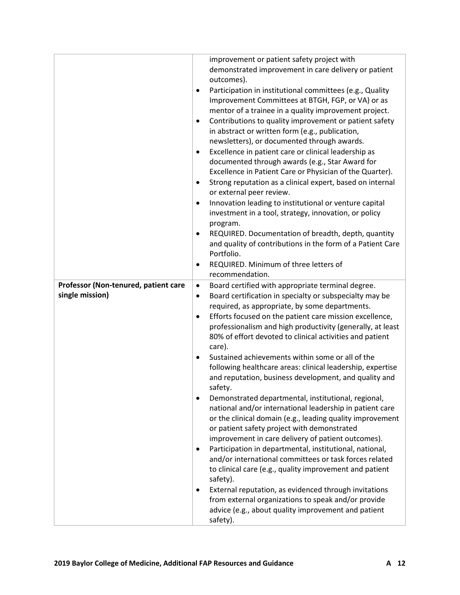|                                      |           | improvement or patient safety project with                                                                   |
|--------------------------------------|-----------|--------------------------------------------------------------------------------------------------------------|
|                                      |           | demonstrated improvement in care delivery or patient                                                         |
|                                      |           | outcomes).                                                                                                   |
|                                      | $\bullet$ | Participation in institutional committees (e.g., Quality                                                     |
|                                      |           | Improvement Committees at BTGH, FGP, or VA) or as                                                            |
|                                      |           | mentor of a trainee in a quality improvement project.                                                        |
|                                      | ٠         | Contributions to quality improvement or patient safety                                                       |
|                                      |           | in abstract or written form (e.g., publication,                                                              |
|                                      |           | newsletters), or documented through awards.                                                                  |
|                                      | ٠         | Excellence in patient care or clinical leadership as                                                         |
|                                      |           | documented through awards (e.g., Star Award for                                                              |
|                                      |           | Excellence in Patient Care or Physician of the Quarter).                                                     |
|                                      | $\bullet$ | Strong reputation as a clinical expert, based on internal                                                    |
|                                      |           | or external peer review.                                                                                     |
|                                      | $\bullet$ | Innovation leading to institutional or venture capital                                                       |
|                                      |           | investment in a tool, strategy, innovation, or policy                                                        |
|                                      |           | program.                                                                                                     |
|                                      | $\bullet$ | REQUIRED. Documentation of breadth, depth, quantity                                                          |
|                                      |           | and quality of contributions in the form of a Patient Care                                                   |
|                                      |           | Portfolio.                                                                                                   |
|                                      | $\bullet$ | REQUIRED. Minimum of three letters of                                                                        |
|                                      |           | recommendation.                                                                                              |
| Professor (Non-tenured, patient care | $\bullet$ | Board certified with appropriate terminal degree.                                                            |
| single mission)                      | $\bullet$ | Board certification in specialty or subspecialty may be                                                      |
|                                      |           | required, as appropriate, by some departments.                                                               |
|                                      | $\bullet$ | Efforts focused on the patient care mission excellence,                                                      |
|                                      |           | professionalism and high productivity (generally, at least                                                   |
|                                      |           | 80% of effort devoted to clinical activities and patient                                                     |
|                                      |           | care).                                                                                                       |
|                                      | $\bullet$ | Sustained achievements within some or all of the                                                             |
|                                      |           | following healthcare areas: clinical leadership, expertise                                                   |
|                                      |           | and reputation, business development, and quality and                                                        |
|                                      |           | safety.                                                                                                      |
|                                      | $\bullet$ | Demonstrated departmental, institutional, regional,                                                          |
|                                      |           | national and/or international leadership in patient care                                                     |
|                                      |           | or the clinical domain (e.g., leading quality improvement                                                    |
|                                      |           | or patient safety project with demonstrated                                                                  |
|                                      |           | improvement in care delivery of patient outcomes).                                                           |
|                                      | ٠         | Participation in departmental, institutional, national,                                                      |
|                                      |           | and/or international committees or task forces related                                                       |
|                                      |           | to clinical care (e.g., quality improvement and patient                                                      |
|                                      |           | safety).                                                                                                     |
|                                      | ٠         | External reputation, as evidenced through invitations<br>from external organizations to speak and/or provide |
|                                      |           | advice (e.g., about quality improvement and patient                                                          |
|                                      |           | safety).                                                                                                     |
|                                      |           |                                                                                                              |